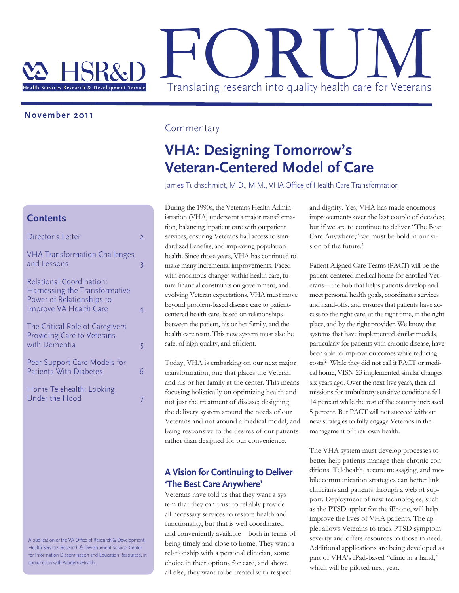

## **November 2011**

#### **Contents**

| Director's Letter                                                                                                |   |
|------------------------------------------------------------------------------------------------------------------|---|
| <b>VHA Transformation Challenges</b><br>and Lessons                                                              | 3 |
| Relational Coordination:<br>Harnessing the Transformative<br>Power of Relationships to<br>Improve VA Health Care |   |
| The Critical Role of Caregivers<br>Providing Care to Veterans<br>with Dementia                                   | 5 |
| Peer-Support Care Models for<br><b>Patients With Diabetes</b>                                                    | 6 |
| Home Telehealth: Looking<br>Under the Hood                                                                       |   |

A publication of the VA Office of Research & Development, Health Services Research & Development Service, Center for Information Dissemination and Education Resources, in conjunction with AcademyHealth.

### **Commentary**

# **VHA: Designing Tomorrow's Veteran-Centered Model of Care**

James Tuchschmidt, M.D., M.M., VHA Office of Health Care Transformation

During the 1990s, the Veterans Health Administration (VHA) underwent a major transformation, balancing inpatient care with outpatient services, ensuring Veterans had access to standardized benefits, and improving population health. Since those years, VHA has continued to make many incremental improvements. Faced with enormous changes within health care, future financial constraints on government, and evolving Veteran expectations, VHA must move beyond problem-based disease care to patientcentered health care, based on relationships between the patient, his or her family, and the health care team. This new system must also be safe, of high quality, and efficient.

Today, VHA is embarking on our next major transformation, one that places the Veteran and his or her family at the center. This means focusing holistically on optimizing health and not just the treatment of disease; designing the delivery system around the needs of our Veterans and not around a medical model; and being responsive to the desires of our patients rather than designed for our convenience.

## **A Vision for Continuing to Deliver 'The Best Care Anywhere'**

Veterans have told us that they want a system that they can trust to reliably provide all necessary services to restore health and functionality, but that is well coordinated and conveniently available—both in terms of being timely and close to home. They want a relationship with a personal clinician, some choice in their options for care, and above all else, they want to be treated with respect

and dignity. Yes, VHA has made enormous improvements over the last couple of decades; but if we are to continue to deliver "The Best Care Anywhere," we must be bold in our vision of the future.<sup>1</sup>

Patient Aligned Care Teams (PACT) will be the patient-centered medical home for enrolled Veterans—the hub that helps patients develop and meet personal health goals, coordinates services and hand-offs, and ensures that patients have access to the right care, at the right time, in the right place, and by the right provider. We know that systems that have implemented similar models, particularly for patients with chronic disease, have been able to improve outcomes while reducing costs.<sup>2</sup> While they did not call it PACT or medical home, VISN 23 implemented similar changes six years ago. Over the next five years, their admissions for ambulatory sensitive conditions fell 14 percent while the rest of the country increased 5 percent. But PACT will not succeed without new strategies to fully engage Veterans in the management of their own health.

The VHA system must develop processes to better help patients manage their chronic conditions. Telehealth, secure messaging, and mobile communication strategies can better link clinicians and patients through a web of support. Deployment of new technologies, such as the PTSD applet for the iPhone, will help improve the lives of VHA patients. The applet allows Veterans to track PTSD symptom severity and offers resources to those in need. Additional applications are being developed as part of VHA's iPad-based "clinic in a hand," which will be piloted next year.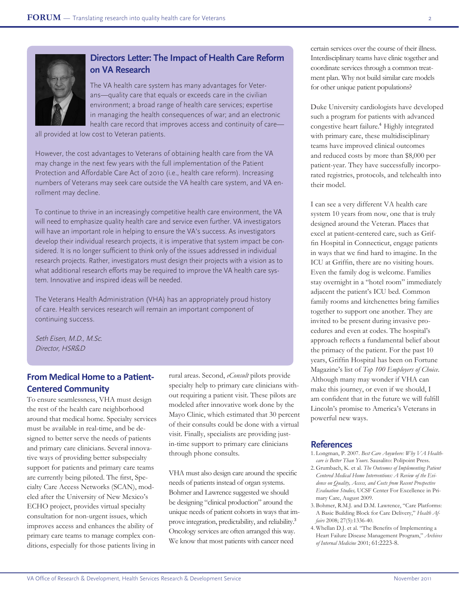

## **Directors Letter: The Impact of Health Care Reform on VA Research**

The VA health care system has many advantages for Veterans—quality care that equals or exceeds care in the civilian environment; a broad range of health care services; expertise in managing the health consequences of war; and an electronic health care record that improves access and continuity of care—

all provided at low cost to Veteran patients.

However, the cost advantages to Veterans of obtaining health care from the VA may change in the next few years with the full implementation of the Patient Protection and Affordable Care Act of 2010 (i.e., health care reform). Increasing numbers of Veterans may seek care outside the VA health care system, and VA enrollment may decline.

To continue to thrive in an increasingly competitive health care environment, the VA will need to emphasize quality health care and service even further. VA investigators will have an important role in helping to ensure the VA's success. As investigators develop their individual research projects, it is imperative that system impact be considered. It is no longer sufficient to think only of the issues addressed in individual research projects. Rather, investigators must design their projects with a vision as to what additional research efforts may be required to improve the VA health care system. Innovative and inspired ideas will be needed.

The Veterans Health Administration (VHA) has an appropriately proud history of care. Health services research will remain an important component of continuing success.

Seth Eisen, M.D., M.Sc. Director, HSR&D

### **From Medical Home to a Patient-Centered Community**

To ensure seamlessness, VHA must design the rest of the health care neighborhood around that medical home. Specialty services must be available in real-time, and be designed to better serve the needs of patients and primary care clinicians. Several innovative ways of providing better subspecialty support for patients and primary care teams are currently being piloted. The first, Specialty Care Access Networks (SCAN), modeled after the University of New Mexico's ECHO project, provides virtual specialty consultation for non-urgent issues, which improves access and enhances the ability of primary care teams to manage complex conditions, especially for those patients living in

rural areas. Second, *eConsult* pilots provide specialty help to primary care clinicians without requiring a patient visit. These pilots are modeled after innovative work done by the Mayo Clinic, which estimated that 30 percent of their consults could be done with a virtual visit. Finally, specialists are providing justin-time support to primary care clinicians through phone consults.

VHA must also design care around the specific needs of patients instead of organ systems. Bohmer and Lawrence suggested we should be designing "clinical production" around the unique needs of patient cohorts in ways that improve integration, predictability, and reliability.<sup>3</sup> Oncology services are often arranged this way. We know that most patients with cancer need

certain services over the course of their illness. Interdisciplinary teams have clinic together and coordinate services through a common treatment plan. Why not build similar care models for other unique patient populations?

Duke University cardiologists have developed such a program for patients with advanced congestive heart failure.<sup>4</sup> Highly integrated with primary care, these multidisciplinary teams have improved clinical outcomes and reduced costs by more than \$8,000 per patient-year. They have successfully incorporated registries, protocols, and telehealth into their model.

I can see a very different VA health care system 10 years from now, one that is truly designed around the Veteran. Places that excel at patient-centered care, such as Griffin Hospital in Connecticut, engage patients in ways that we find hard to imagine. In the ICU at Griffin, there are no visiting hours. Even the family dog is welcome. Families stay overnight in a "hotel room" immediately adjacent the patient's ICU bed. Common family rooms and kitchenettes bring families together to support one another. They are invited to be present during invasive procedures and even at codes. The hospital's approach reflects a fundamental belief about the primacy of the patient. For the past 10 years, Griffin Hospital has been on Fortune Magazine's list of *Top 100 Employers of Choice*. Although many may wonder if VHA can make this journey, or even if we should, I am confident that in the future we will fulfill Lincoln's promise to America's Veterans in powerful new ways.

- 1. Longman, P. 2007. *Best Care Anywhere: Why VA Healthcare is Better Than Yours*. Sausalito: Polipoint Press.
- 2. Grumbach, K. et al. *The Outcomes of Implementing Patient Centered Medical Home Interventions: A Review of the Evidence on Quality, Access, and Costs from Recent Prospective Evaluation Studies,* UCSF Center For Excellence in Primary Care, August 2009.
- 3. Bohmer, R.M.J. and D.M. Lawrence, "Care Platforms: A Basic Building Block for Care Delivery," *Health Affairs* 2008; 27(5):1336-40.
- 4. Whellan D.J. et al. "The Benefits of Implementing a Heart Failure Disease Management Program," *Archives of Internal Medicine* 2001; 61:2223-8.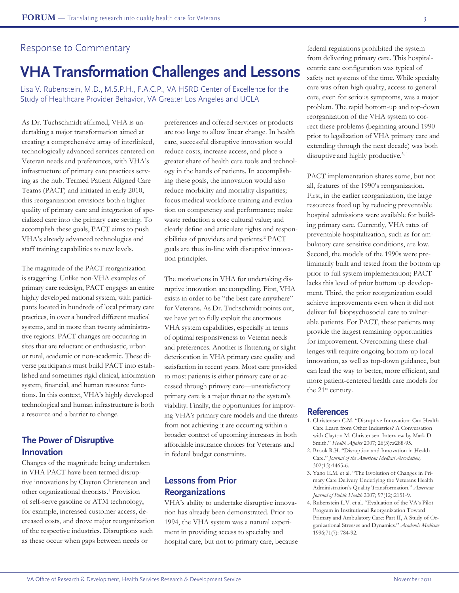#### Response to Commentary

# **VHA Transformation Challenges and Lessons**

Lisa V. Rubenstein, M.D., M.S.P.H., F.A.C.P., VA HSRD Center of Excellence for the Study of Healthcare Provider Behavior, VA Greater Los Angeles and UCLA

As Dr. Tuchschmidt affirmed, VHA is undertaking a major transformation aimed at creating a comprehensive array of interlinked, technologically advanced services centered on Veteran needs and preferences, with VHA's infrastructure of primary care practices serving as the hub. Termed Patient Aligned Care Teams (PACT) and initiated in early 2010, this reorganization envisions both a higher quality of primary care and integration of specialized care into the primary care setting. To accomplish these goals, PACT aims to push VHA's already advanced technologies and staff training capabilities to new levels.

The magnitude of the PACT reorganization is staggering. Unlike non-VHA examples of primary care redesign, PACT engages an entire highly developed national system, with participants located in hundreds of local primary care practices, in over a hundred different medical systems, and in more than twenty administrative regions. PACT changes are occurring in sites that are reluctant or enthusiastic, urban or rural, academic or non-academic. These diverse participants must build PACT into established and sometimes rigid clinical, information system, financial, and human resource functions. In this context, VHA's highly developed technological and human infrastructure is both a resource and a barrier to change.

## **The Power of Disruptive Innovation**

Changes of the magnitude being undertaken in VHA PACT have been termed disruptive innovations by Clayton Christensen and other organizational theorists.<sup>1</sup> Provision of self-serve gasoline or ATM technology, for example, increased customer access, decreased costs, and drove major reorganization of the respective industries. Disruptions such as these occur when gaps between needs or

preferences and offered services or products are too large to allow linear change. In health care, successful disruptive innovation would reduce costs, increase access, and place a greater share of health care tools and technology in the hands of patients. In accomplishing these goals, the innovation would also reduce morbidity and mortality disparities; focus medical workforce training and evaluation on competency and performance; make waste reduction a core cultural value; and clearly define and articulate rights and responsibilities of providers and patients.<sup>2</sup> PACT goals are thus in-line with disruptive innovation principles.

The motivations in VHA for undertaking disruptive innovation are compelling. First, VHA exists in order to be "the best care anywhere" for Veterans. As Dr. Tuchschmidt points out, we have yet to fully exploit the enormous VHA system capabilities, especially in terms of optimal responsiveness to Veteran needs and preferences. Another is flattening or slight deterioration in VHA primary care quality and satisfaction in recent years. Most care provided to most patients is either primary care or accessed through primary care—unsatisfactory primary care is a major threat to the system's viability. Finally, the opportunities for improving VHA's primary care models and the threats from not achieving it are occurring within a broader context of upcoming increases in both affordable insurance choices for Veterans and in federal budget constraints.

## **Lessons from Prior Reorganizations**

VHA's ability to undertake disruptive innovation has already been demonstrated. Prior to 1994, the VHA system was a natural experiment in providing access to specialty and hospital care, but not to primary care, because

federal regulations prohibited the system from delivering primary care. This hospitalcentric care configuration was typical of safety net systems of the time. While specialty care was often high quality, access to general care, even for serious symptoms, was a major problem. The rapid bottom-up and top-down reorganization of the VHA system to correct these problems (beginning around 1990 prior to legalization of VHA primary care and extending through the next decade) was both disruptive and highly productive.<sup>3, 4</sup>

PACT implementation shares some, but not all, features of the 1990's reorganization. First, in the earlier reorganization, the large resources freed up by reducing preventable hospital admissions were available for building primary care. Currently, VHA rates of preventable hospitalization, such as for ambulatory care sensitive conditions, are low. Second, the models of the 1990s were preliminarily built and tested from the bottom up prior to full system implementation; PACT lacks this level of prior bottom up development. Third, the prior reorganization could achieve improvements even when it did not deliver full biopsychosocial care to vulnerable patients. For PACT, these patients may provide the largest remaining opportunities for improvement. Overcoming these challenges will require ongoing bottom-up local innovation, as well as top-down guidance, but can lead the way to better, more efficient, and more patient-centered health care models for the 21<sup>st</sup> century.

- 1. Christensen C.M. "Disruptive Innovation: Can Health Care Learn from Other Industries? A Conversation with Clayton M. Christensen. Interview by Mark D. Smith." *Health Affairs* 2007; 26(3):w288-95.
- 2. Brook R.H. "Disruption and Innovation in Health Care." *Journal of the American Medical Association,*  302(13):1465-6.
- 3. Yano E.M. et al. "The Evolution of Changes in Primary Care Delivery Underlying the Veterans Health Administration's Quality Transformation." *American Journal of Public Health* 2007; 97(12):2151-9.
- 4. Rubenstein L.V. et al. "Evaluation of the VA's Pilot Program in Institutional Reorganization Toward Primary and Ambulatory Care: Part II, A Study of Organizational Stresses and Dynamics." *Academic Medicine*  1996;71(7): 784-92.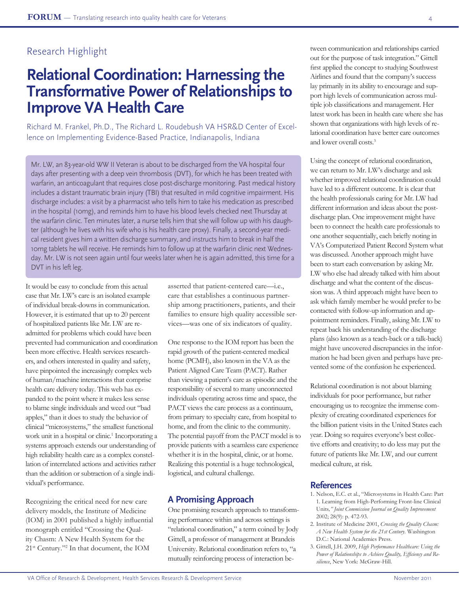# **Relational Coordination: Harnessing the Transformative Power of Relationships to Improve VA Health Care**

Richard M. Frankel, Ph.D., The Richard L. Roudebush VA HSR&D Center of Excellence on Implementing Evidence-Based Practice, Indianapolis, Indiana

Mr. LW, an 83-year-old WW II Veteran is about to be discharged from the VA hospital four days after presenting with a deep vein thrombosis (DVT), for which he has been treated with warfarin, an anticoagulant that requires close post-discharge monitoring. Past medical history includes a distant traumatic brain injury (TBI) that resulted in mild cognitive impairment. His discharge includes: a visit by a pharmacist who tells him to take his medication as prescribed in the hospital (10mg), and reminds him to have his blood levels checked next Thursday at the warfarin clinic. Ten minutes later, a nurse tells him that she will follow up with his daughter (although he lives with his wife who is his health care proxy). Finally, a second-year medical resident gives him a written discharge summary, and instructs him to break in half the 10mg tablets he will receive. He reminds him to follow up at the warfarin clinic next Wednesday. Mr. LW is not seen again until four weeks later when he is again admitted, this time for a DVT in his left leg.

It would be easy to conclude from this actual case that Mr. LW's care is an isolated example of individual break-downs in communication. However, it is estimated that up to 20 percent of hospitalized patients like Mr. LW are readmitted for problems which could have been prevented had communication and coordination been more effective. Health services researchers, and others interested in quality and safety, have pinpointed the increasingly complex web of human/machine interactions that comprise health care delivery today. This web has expanded to the point where it makes less sense to blame single individuals and weed out "bad apples," than it does to study the behavior of clinical "microsystems," the smallest functional work unit in a hospital or clinic.<sup>1</sup> Incorporating a systems approach extends our understanding of high reliability health care as a complex constellation of interrelated actions and activities rather than the addition or subtraction of a single individual's performance.

Recognizing the critical need for new care delivery models, the Institute of Medicine (IOM) in 2001 published a highly influential monograph entitled "Crossing the Quality Chasm: A New Health System for the 21<sup>st</sup> Century."<sup>2</sup> In that document, the IOM

asserted that patient-centered care—i.e., care that establishes a continuous partnership among practitioners, patients, and their families to ensure high quality accessible services—was one of six indicators of quality.

One response to the IOM report has been the rapid growth of the patient-centered medical home (PCMH), also known in the VA as the Patient Aligned Care Team (PACT). Rather than viewing a patient's care as episodic and the responsibility of several to many unconnected individuals operating across time and space, the PACT views the care process as a continuum, from primary to specialty care, from hospital to home, and from the clinic to the community. The potential payoff from the PACT model is to provide patients with a seamless care experience whether it is in the hospital, clinic, or at home. Realizing this potential is a huge technological, logistical, and cultural challenge.

### **A Promising Approach**

One promising research approach to transforming performance within and across settings is "relational coordination," a term coined by Jody Gittell, a professor of management at Brandeis University. Relational coordination refers to, "a mutually reinforcing process of interaction be-

tween communication and relationships carried out for the purpose of task integration." Gittell first applied the concept to studying Southwest Airlines and found that the company's success lay primarily in its ability to encourage and support high levels of communication across multiple job classifications and management. Her latest work has been in health care where she has shown that organizations with high levels of relational coordination have better care outcomes and lower overall costs.3

Using the concept of relational coordination, we can return to Mr. LW's discharge and ask whether improved relational coordination could have led to a different outcome. It is clear that the health professionals caring for Mr. LW had different information and ideas about the postdischarge plan. One improvement might have been to connect the health care professionals to one another sequentially, each briefly noting in VA's Computerized Patient Record System what was discussed. Another approach might have been to start each conversation by asking Mr. LW who else had already talked with him about discharge and what the content of the discussion was. A third approach might have been to ask which family member he would prefer to be contacted with follow-up information and appointment reminders. Finally, asking Mr. LW to repeat back his understanding of the discharge plans (also known as a teach-back or a talk-back) might have uncovered discrepancies in the information he had been given and perhaps have prevented some of the confusion he experienced.

Relational coordination is not about blaming individuals for poor performance, but rather encouraging us to recognize the immense complexity of creating coordinated experiences for the billion patient visits in the United States each year. Doing so requires everyone's best collective efforts and creativity; to do less may put the future of patients like Mr. LW, and our current medical culture, at risk.

- 1. Nelson, E.C. et al., "Microsystems in Health Care: Part 1. Learning from High-Performing Front-line Clinical Units*," Joint Commission Journal on Quality Improvement* 2002; 28(9): p. 472-93.
- 2. Institute of Medicine 2001, *Crossing the Quality Chasm: A New Health System for the 21st Century*. Washington D.C.: National Academies Press.
- 3. Gittell, J.H. 2009, *High Performance Healthcare: Using the Power of Relationships to Achieve Quality, Efficiency and Resilience*, New York: McGraw-Hill.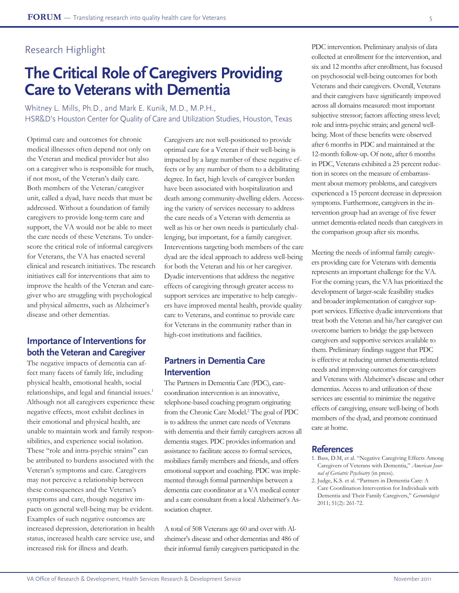# **The Critical Role of Caregivers Providing Care to Veterans with Dementia**

Whitney L. Mills, Ph.D., and Mark E. Kunik, M.D., M.P.H., HSR&D's Houston Center for Quality of Care and Utilization Studies, Houston, Texas

Optimal care and outcomes for chronic medical illnesses often depend not only on the Veteran and medical provider but also on a caregiver who is responsible for much, if not most, of the Veteran's daily care. Both members of the Veteran/caregiver unit, called a dyad, have needs that must be addressed. Without a foundation of family caregivers to provide long-term care and support, the VA would not be able to meet the care needs of these Veterans. To underscore the critical role of informal caregivers for Veterans, the VA has enacted several clinical and research initiatives. The research initiatives call for interventions that aim to improve the health of the Veteran and caregiver who are struggling with psychological and physical ailments, such as Alzheimer's disease and other dementias.

### **Importance of Interventions for both the Veteran and Caregiver**

The negative impacts of dementia can affect many facets of family life, including physical health, emotional health, social relationships, and legal and financial issues.<sup>1</sup> Although not all caregivers experience these negative effects, most exhibit declines in their emotional and physical health, are unable to maintain work and family responsibilities, and experience social isolation. These "role and intra-psychic strains" can be attributed to burdens associated with the Veteran's symptoms and care. Caregivers may not perceive a relationship between these consequences and the Veteran's symptoms and care, though negative impacts on general well-being may be evident. Examples of such negative outcomes are increased depression, deterioration in health status, increased health care service use, and increased risk for illness and death.

Caregivers are not well-positioned to provide optimal care for a Veteran if their well-being is impacted by a large number of these negative effects or by any number of them to a debilitating degree. In fact, high levels of caregiver burden have been associated with hospitalization and death among community-dwelling elders. Accessing the variety of services necessary to address the care needs of a Veteran with dementia as well as his or her own needs is particularly challenging, but important, for a family caregiver. Interventions targeting both members of the care dyad are the ideal approach to address well-being for both the Veteran and his or her caregiver. Dyadic interventions that address the negative effects of caregiving through greater access to support services are imperative to help caregivers have improved mental health, provide quality care to Veterans, and continue to provide care for Veterans in the community rather than in high-cost institutions and facilities.

### **Partners in Dementia Care Intervention**

The Partners in Dementia Care (PDC), carecoordination intervention is an innovative, telephone-based coaching program originating from the Chronic Care Model.<sup>2</sup> The goal of PDC is to address the unmet care needs of Veterans with dementia and their family caregivers across all dementia stages. PDC provides information and assistance to facilitate access to formal services, mobilizes family members and friends, and offers emotional support and coaching. PDC was implemented through formal partnerships between a dementia care coordinator at a VA medical center and a care consultant from a local Alzheimer's Association chapter.

A total of 508 Veterans age 60 and over with Alzheimer's disease and other dementias and 486 of their informal family caregivers participated in the

PDC intervention. Preliminary analysis of data collected at enrollment for the intervention, and six and 12 months after enrollment, has focused on psychosocial well-being outcomes for both Veterans and their caregivers. Overall, Veterans and their caregivers have significantly improved across all domains measured: most important subjective stressor; factors affecting stress level; role and intra-psychic strain; and general wellbeing. Most of these benefits were observed after 6 months in PDC and maintained at the 12-month follow-up. Of note, after 6 months in PDC, Veterans exhibited a 25 percent reduction in scores on the measure of embarrassment about memory problems, and caregivers experienced a 15 percent decrease in depression symptoms. Furthermore, caregivers in the intervention group had an average of five fewer unmet dementia-related needs than caregivers in the comparison group after six months.

Meeting the needs of informal family caregivers providing care for Veterans with dementia represents an important challenge for the VA. For the coming years, the VA has prioritized the development of larger-scale feasibility studies and broader implementation of caregiver support services. Effective dyadic interventions that treat both the Veteran and his/her caregiver can overcome barriers to bridge the gap between caregivers and supportive services available to them. Preliminary findings suggest that PDC is effective at reducing unmet dementia-related needs and improving outcomes for caregivers and Veterans with Alzheimer's disease and other dementias. Access to and utilization of these services are essential to minimize the negative effects of caregiving, ensure well-being of both members of the dyad, and promote continued care at home.

- 1. Bass, D.M, et al. "Negative Caregiving Effects Among Caregivers of Veterans with Dementia," *American Journal of Geriatric Psychiatry* (in press).
- 2. Judge, K.S. et al. "Partners in Dementia Care: A Care Coordination Intervention for Individuals with Dementia and Their Family Caregivers," *Gerontologist* 2011; 51(2): 261-72.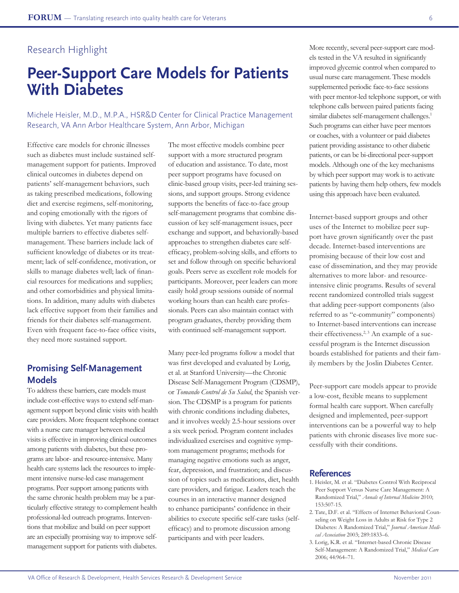# **Peer-Support Care Models for Patients With Diabetes**

Michele Heisler, M.D., M.P.A., HSR&D Center for Clinical Practice Management Research, VA Ann Arbor Healthcare System, Ann Arbor, Michigan

Effective care models for chronic illnesses such as diabetes must include sustained selfmanagement support for patients. Improved clinical outcomes in diabetes depend on patients' self-management behaviors, such as taking prescribed medications, following diet and exercise regimens, self-monitoring, and coping emotionally with the rigors of living with diabetes. Yet many patients face multiple barriers to effective diabetes selfmanagement. These barriers include lack of sufficient knowledge of diabetes or its treatment; lack of self-confidence, motivation, or skills to manage diabetes well; lack of financial resources for medications and supplies; and other comorbidities and physical limitations. In addition, many adults with diabetes lack effective support from their families and friends for their diabetes self-management. Even with frequent face-to-face office visits, they need more sustained support.

### **Promising Self-Management Models**

To address these barriers, care models must include cost-effective ways to extend self-management support beyond clinic visits with health care providers. More frequent telephone contact with a nurse care manager between medical visits is effective in improving clinical outcomes among patients with diabetes, but these programs are labor- and resource-intensive. Many health care systems lack the resources to implement intensive nurse-led case management programs. Peer support among patients with the same chronic health problem may be a particularly effective strategy to complement health professional-led outreach programs. Interventions that mobilize and build on peer support are an especially promising way to improve selfmanagement support for patients with diabetes.

The most effective models combine peer support with a more structured program of education and assistance. To date, most peer support programs have focused on clinic-based group visits, peer-led training sessions, and support groups. Strong evidence supports the benefits of face-to-face group self-management programs that combine discussion of key self-management issues, peer exchange and support, and behaviorally-based approaches to strengthen diabetes care selfefficacy, problem-solving skills, and efforts to set and follow through on specific behavioral goals. Peers serve as excellent role models for participants. Moreover, peer leaders can more easily hold group sessions outside of normal working hours than can health care professionals. Peers can also maintain contact with program graduates, thereby providing them with continued self-management support.

Many peer-led programs follow a model that was first developed and evaluated by Lorig, et al. at Stanford University—the Chronic Disease Self-Management Program (CDSMP), or *Tomando Control de Su Salud*, the Spanish version. The CDSMP is a program for patients with chronic conditions including diabetes, and it involves weekly 2.5-hour sessions over a six week period. Program content includes individualized exercises and cognitive symptom management programs; methods for managing negative emotions such as anger, fear, depression, and frustration; and discussion of topics such as medications, diet, health care providers, and fatigue. Leaders teach the courses in an interactive manner designed to enhance participants' confidence in their abilities to execute specific self-care tasks (selfefficacy) and to promote discussion among participants and with peer leaders.

More recently, several peer-support care models tested in the VA resulted in significantly improved glycemic control when compared to usual nurse care management. These models supplemented periodic face-to-face sessions with peer mentor-led telephone support, or with telephone calls between paired patients facing similar diabetes self-management challenges.<sup>1</sup> Such programs can either have peer mentors or coaches, with a volunteer or paid diabetes patient providing assistance to other diabetic patients, or can be bi-directional peer-support models. Although one of the key mechanisms by which peer support may work is to activate patients by having them help others, few models using this approach have been evaluated.

Internet-based support groups and other uses of the Internet to mobilize peer support have grown significantly over the past decade. Internet-based interventions are promising because of their low cost and ease of dissemination, and they may provide alternatives to more labor- and resourceintensive clinic programs. Results of several recent randomized controlled trials suggest that adding peer-support components (also referred to as "e-community" components) to Internet-based interventions can increase their effectiveness.<sup>2, 3</sup> An example of a successful program is the Internet discussion boards established for patients and their family members by the Joslin Diabetes Center.

Peer-support care models appear to provide a low-cost, flexible means to supplement formal health care support. When carefully designed and implemented, peer-support interventions can be a powerful way to help patients with chronic diseases live more successfully with their conditions.

- 1. Heisler, M. et al. "Diabetes Control With Reciprocal Peer Support Versus Nurse Care Management: A Randomized Trial," *Annals of Internal Medicine* 2010; 153:507-15.
- 2. Tate, D.F. et al. "Effects of Internet Behavioral Counseling on Weight Loss in Adults at Risk for Type 2 Diabetes: A Randomized Trial," *Journal American Medical Association* 2003; 289:1833–6.
- 3. Lorig, K.R. et al. "Internet-based Chronic Disease Self-Management: A Randomized Trial," *Medical Care* 2006; 44:964–71.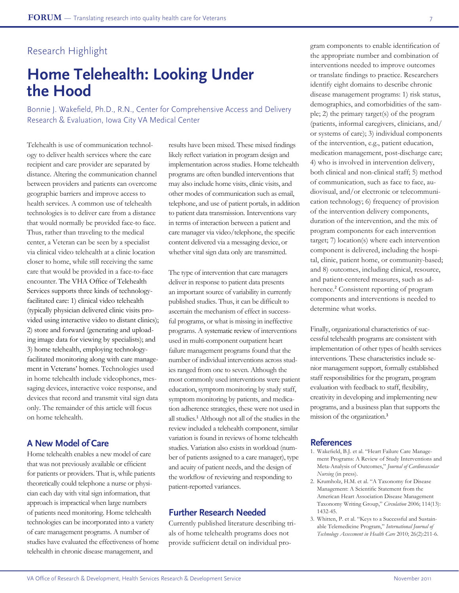# **Home Telehealth: Looking Under the Hood**

Bonnie J. Wakefield, Ph.D., R.N., Center for Comprehensive Access and Delivery Research & Evaluation, Iowa City VA Medical Center

Telehealth is use of communication technology to deliver health services where the care recipient and care provider are separated by distance. Altering the communication channel between providers and patients can overcome geographic barriers and improve access to health services. A common use of telehealth technologies is to deliver care from a distance that would normally be provided face-to face. Thus, rather than traveling to the medical center, a Veteran can be seen by a specialist via clinical video telehealth at a clinic location closer to home, while still receiving the same care that would be provided in a face-to-face encounter. The VHA Office of Telehealth Services supports three kinds of technologyfacilitated care: 1) clinical video telehealth (typically physician delivered clinic visits provided using interactive video to distant clinics); 2) store and forward (generating and uploading image data for viewing by specialists); and 3) home telehealth, employing technologyfacilitated monitoring along with care management in Veterans' homes. Technologies used in home telehealth include videophones, messaging devices, interactive voice response, and devices that record and transmit vital sign data only. The remainder of this article will focus on home telehealth.

## **A New Model of Care**

Home telehealth enables a new model of care that was not previously available or efficient for patients or providers. That is, while patients theoretically could telephone a nurse or physician each day with vital sign information, that approach is impractical when large numbers of patients need monitoring. Home telehealth technologies can be incorporated into a variety of care management programs. A number of studies have evaluated the effectiveness of home telehealth in chronic disease management, and

results have been mixed. These mixed findings likely reflect variation in program design and implementation across studies. Home telehealth programs are often bundled interventions that may also include home visits, clinic visits, and other modes of communication such as email, telephone, and use of patient portals, in addition to patient data transmission. Interventions vary in terms of interaction between a patient and care manager via video/telephone, the specific content delivered via a messaging device, or whether vital sign data only are transmitted.

The type of intervention that care managers deliver in response to patient data presents an important source of variability in currently published studies. Thus, it can be difficult to ascertain the mechanism of effect in successful programs, or what is missing in ineffective programs. A systematic review of interventions used in multi-component outpatient heart failure management programs found that the number of individual interventions across studies ranged from one to seven. Although the most commonly used interventions were patient education, symptom monitoring by study staff, symptom monitoring by patients, and medication adherence strategies, these were not used in all studies.<sup>1</sup> Although not all of the studies in the review included a telehealth component, similar variation is found in reviews of home telehealth studies. Variation also exists in workload (number of patients assigned to a care manager), type and acuity of patient needs, and the design of the workflow of reviewing and responding to patient-reported variances.

#### **Further Research Needed**

Currently published literature describing trials of home telehealth programs does not provide sufficient detail on individual program components to enable identification of the appropriate number and combination of interventions needed to improve outcomes or translate findings to practice. Researchers identify eight domains to describe chronic disease management programs: 1) risk status, demographics, and comorbidities of the sample; 2) the primary target(s) of the program (patients, informal caregivers, clinicians, and/ or systems of care); 3) individual components of the intervention, e.g., patient education, medication management, post-discharge care; 4) who is involved in intervention delivery, both clinical and non-clinical staff; 5) method of communication, such as face to face, audiovisual, and/or electronic or telecommunication technology; 6) frequency of provision of the intervention delivery components, duration of the intervention, and the mix of program components for each intervention target; 7) location(s) where each intervention component is delivered, including the hospital, clinic, patient home, or community-based; and 8) outcomes, including clinical, resource, and patient-centered measures, such as adherence.<sup>2</sup> Consistent reporting of program components and interventions is needed to determine what works.

Finally, organizational characteristics of successful telehealth programs are consistent with implementation of other types of health services interventions. These characteristics include senior management support, formally established staff responsibilities for the program, program evaluation with feedback to staff, flexibility, creativity in developing and implementing new programs, and a business plan that supports the mission of the organization.<sup>3</sup>

- 1. Wakefield, B.J. et al. "Heart Failure Care Management Programs: A Review of Study Interventions and Meta-Analysis of Outcomes," *Journal of Cardiovascular Nursing* (in press).
- 2. Krumholz, H.M. et al. "A Taxonomy for Disease Management: A Scientific Statement from the American Heart Association Disease Management Taxonomy Writing Group," *Circulation* 2006; 114(13): 1432-45.
- 3. Whitten, P. et al. "Keys to a Successful and Sustainable Telemedicine Program," *International Journal of Technology Assessment in Health Care* 2010; 26(2):211-6.